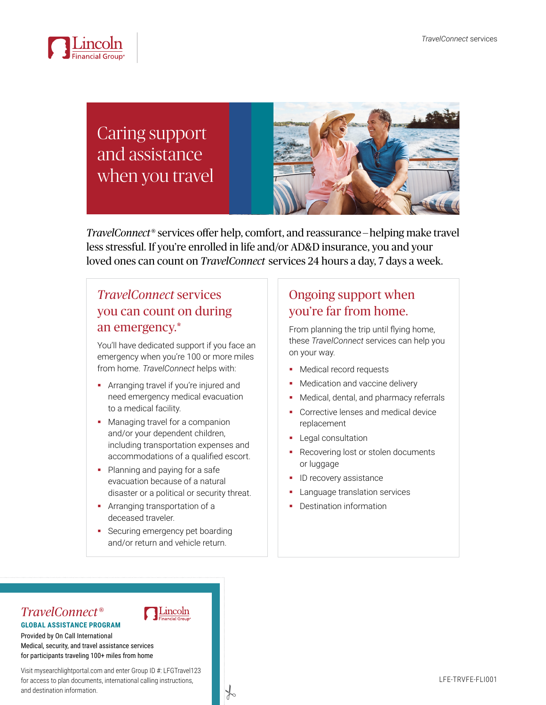

# Caring support and assistance when you travel



*TravelConnect*® services offer help, comfort, and reassurance — helping make travel less stressful. If you're enrolled in life and/or AD&D insurance, you and your loved ones can count on *TravelConnect* services 24 hours a day, 7 days a week.

### *TravelConnect* services you can count on during an emergency.\*

You'll have dedicated support if you face an emergency when you're 100 or more miles from home. *TravelConnect* helps with:

- **•** Arranging travel if you're injured and need emergency medical evacuation to a medical facility.
- Managing travel for a companion and/or your dependent children, including transportation expenses and accommodations of a qualified escort.
- Planning and paying for a safe evacuation because of a natural disaster or a political or security threat.
- **Arranging transportation of a** deceased traveler.
- Securing emergency pet boarding and/or return and vehicle return.

Lincoln

 $\frac{1}{6}$ 

## Ongoing support when you're far from home.

From planning the trip until flying home, these *TravelConnect* services can help you on your way.

- **Medical record requests**
- Medication and vaccine delivery
- Medical, dental, and pharmacy referrals
- Corrective lenses and medical device replacement
- **Legal consultation**
- Recovering lost or stolen documents or luggage
- ID recovery assistance
- Language translation services
- Destination information

### *TravelConnect*® **GLOBAL ASSISTANCE PROGRAM**

Provided by On Call International Medical, security, and travel assistance services for participants traveling 100+ miles from home

Visit mysearchlightportal.com and enter Group ID #: LFGTravel123 for access to plan documents, international calling instructions, and destination information.

#### LFE-TRVFE-FLI001